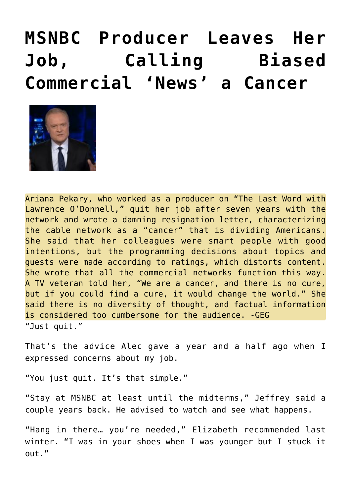## **[MSNBC Producer Leaves Her](https://needtoknow.news/2020/08/msnbc-producer-leaves-her-job-calling-biased-commercial-news-a-cancer/) [Job, Calling Biased](https://needtoknow.news/2020/08/msnbc-producer-leaves-her-job-calling-biased-commercial-news-a-cancer/) [Commercial 'News' a Cancer](https://needtoknow.news/2020/08/msnbc-producer-leaves-her-job-calling-biased-commercial-news-a-cancer/)**



Ariana Pekary, who worked as a producer on "The Last Word with Lawrence O'Donnell," quit her job after seven years with the network and wrote a damning resignation letter, characterizing the cable network as a "cancer" that is dividing Americans. She said that her colleagues were smart people with good intentions, but the programming decisions about topics and guests were made according to ratings, which distorts content. She wrote that all the commercial networks function this way. A TV veteran told her, "We are a cancer, and there is no cure, but if you could find a cure, it would change the world." She said there is no diversity of thought, and factual information is considered too cumbersome for the audience. -GEG "Just quit."

That's the advice Alec gave a year and a half ago when I expressed concerns about my job.

"You just quit. It's that simple."

"Stay at MSNBC at least until the midterms," Jeffrey said a couple years back. He advised to watch and see what happens.

"Hang in there… you're needed," Elizabeth recommended last winter. "I was in your shoes when I was younger but I stuck it out."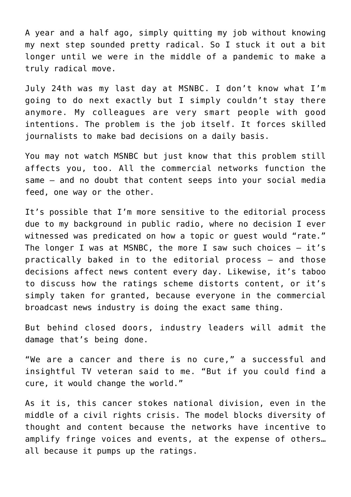A year and a half ago, simply quitting my job without knowing my next step sounded pretty radical. So I stuck it out a bit longer until we were in the middle of a pandemic to make a truly radical move.

July 24th was my last day at MSNBC. I don't know what I'm going to do next exactly but I simply couldn't stay there anymore. My colleagues are very smart people with good intentions. The problem is the job itself. It forces skilled journalists to make bad decisions on a daily basis.

You may not watch MSNBC but just know that this problem still affects you, too. All the commercial networks function the same – and no doubt that content seeps into your social media feed, one way or the other.

It's possible that I'm more sensitive to the editorial process due to my background in public radio, where no decision I ever witnessed was predicated on how a topic or guest would "rate." The longer I was at MSNBC, the more I saw such choices  $-$  it's practically baked in to the editorial process – and those decisions affect news content every day. Likewise, it's taboo to discuss how the ratings scheme distorts content, or it's simply taken for granted, because everyone in the commercial broadcast news industry is doing the exact same thing.

But behind closed doors, industry leaders will admit the damage that's being done.

"We are a cancer and there is no cure," a successful and insightful TV veteran said to me. "But if you could find a cure, it would change the world."

As it is, this cancer stokes national division, even in the middle of a civil rights crisis. The model blocks diversity of thought and content because the networks have incentive to amplify fringe voices and events, at the expense of others… all because it pumps up the ratings.